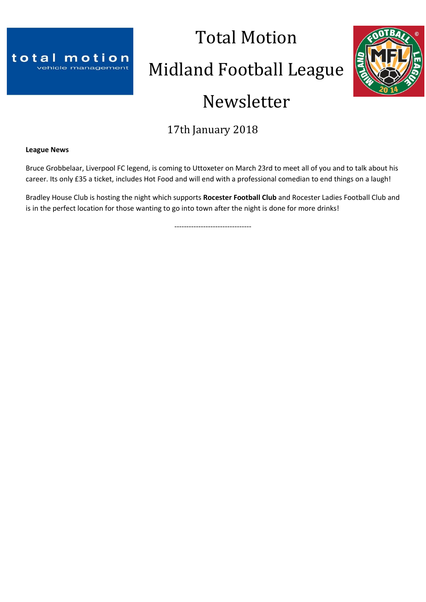

# Total Motion Midland Football League Newsletter



## 17th January 2018

## **League News**

Bruce Grobbelaar, Liverpool FC legend, is coming to Uttoxeter on March 23rd to meet all of you and to talk about his career. Its only £35 a ticket, includes Hot Food and will end with a professional comedian to end things on a laugh!

Bradley House Club is hosting the night which supports **Rocester Football Club** and Rocester Ladies Football Club and is in the perfect location for those wanting to go into town after the night is done for more drinks!

--------------------------------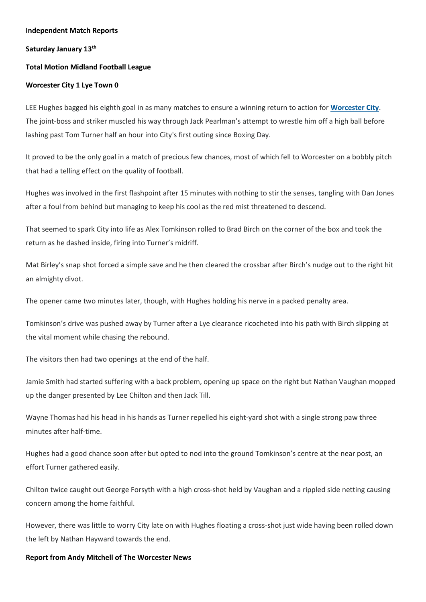## **Independent Match Reports**

## **Saturday January 13th**

## **Total Motion Midland Football League**

## **Worcester City 1 Lye Town 0**

LEE Hughes bagged his eighth goal in as many matches to ensure a winning return to action for **[Worcester](http://www.worcesternews.co.uk/search/?search=Worcester+City+FC&topic_id=2305) City**. The joint-boss and striker muscled his way through Jack Pearlman's attempt to wrestle him off a high ball before lashing past Tom Turner half an hour into City's first outing since Boxing Day.

It proved to be the only goal in a match of precious few chances, most of which fell to Worcester on a bobbly pitch that had a telling effect on the quality of football.

Hughes was involved in the first flashpoint after 15 minutes with nothing to stir the senses, tangling with Dan Jones after a foul from behind but managing to keep his cool as the red mist threatened to descend.

That seemed to spark City into life as Alex Tomkinson rolled to Brad Birch on the corner of the box and took the return as he dashed inside, firing into Turner's midriff.

Mat Birley's snap shot forced a simple save and he then cleared the crossbar after Birch's nudge out to the right hit an almighty divot.

The opener came two minutes later, though, with Hughes holding his nerve in a packed penalty area.

Tomkinson's drive was pushed away by Turner after a Lye clearance ricocheted into his path with Birch slipping at the vital moment while chasing the rebound.

The visitors then had two openings at the end of the half.

Jamie Smith had started suffering with a back problem, opening up space on the right but Nathan Vaughan mopped up the danger presented by Lee Chilton and then Jack Till.

Wayne Thomas had his head in his hands as Turner repelled his eight-yard shot with a single strong paw three minutes after half-time.

Hughes had a good chance soon after but opted to nod into the ground Tomkinson's centre at the near post, an effort Turner gathered easily.

Chilton twice caught out George Forsyth with a high cross-shot held by Vaughan and a rippled side netting causing concern among the home faithful.

However, there was little to worry City late on with Hughes floating a cross-shot just wide having been rolled down the left by Nathan Hayward towards the end.

## **Report from Andy Mitchell of The Worcester News**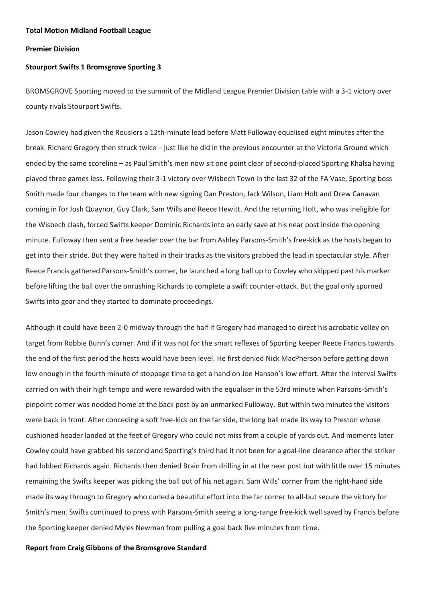## **Premier Division**

## **Stourport Swifts 1 Bromsgrove Sporting 3**

BROMSGROVE Sporting moved to the summit of the Midland League Premier Division table with a 3-1 victory over county rivals Stourport Swifts.

Jason Cowley had given the Rouslers a 12th-minute lead before Matt Fulloway equalised eight minutes after the break. Richard Gregory then struck twice – just like he did in the previous encounter at the Victoria Ground which ended by the same scoreline – as Paul Smith's men now sit one point clear of second-placed Sporting Khalsa having played three games less. Following their 3-1 victory over Wisbech Town in the last 32 of the FA Vase, Sporting boss Smith made four changes to the team with new signing Dan Preston, Jack Wilson, Liam Holt and Drew Canavan coming in for Josh Quaynor, Guy Clark, Sam Wills and Reece Hewitt. And the returning Holt, who was ineligible for the Wisbech clash, forced Swifts keeper Dominic Richards into an early save at his near post inside the opening minute. Fulloway then sent a free header over the bar from Ashley Parsons-Smith's free-kick as the hosts began to get into their stride. But they were halted in their tracks as the visitors grabbed the lead in spectacular style. After Reece Francis gathered Parsons-Smith's corner, he launched a long ball up to Cowley who skipped past his marker before lifting the ball over the onrushing Richards to complete a swift counter-attack. But the goal only spurned Swifts into gear and they started to dominate proceedings.

Although it could have been 2-0 midway through the half if Gregory had managed to direct his acrobatic volley on target from Robbie Bunn's corner. And if it was not for the smart reflexes of Sporting keeper Reece Francis towards the end of the first period the hosts would have been level. He first denied Nick MacPherson before getting down low enough in the fourth minute of stoppage time to get a hand on Joe Hanson's low effort. After the interval Swifts carried on with their high tempo and were rewarded with the equaliser in the 53rd minute when Parsons-Smith's pinpoint corner was nodded home at the back post by an unmarked Fulloway. But within two minutes the visitors were back in front. After conceding a soft free-kick on the far side, the long ball made its way to Preston whose cushioned header landed at the feet of Gregory who could not miss from a couple of yards out. And moments later Cowley could have grabbed his second and Sporting's third had it not been for a goal-line clearance after the striker had lobbed Richards again. Richards then denied Brain from drilling in at the near post but with little over 15 minutes remaining the Swifts keeper was picking the ball out of his net again. Sam Wills' corner from the right-hand side made its way through to Gregory who curled a beautiful effort into the far corner to all-but secure the victory for Smith's men. Swifts continued to press with Parsons-Smith seeing a long-range free-kick well saved by Francis before the Sporting keeper denied Myles Newman from pulling a goal back five minutes from time.

## **Report from Craig Gibbons of the Bromsgrove Standard**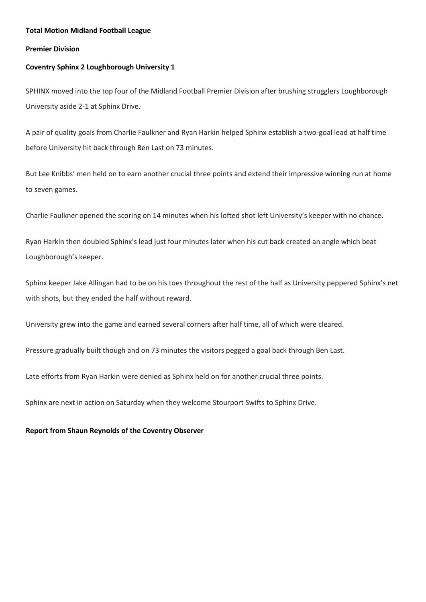## **Total Motion Midland Football League**

## **Premier Division**

## **Coventry Sphinx 2 Loughborough University 1**

SPHINX moved into the top four of the Midland Football Premier Division after brushing strugglers Loughborough University aside 2-1 at Sphinx Drive.

A pair of quality goals from Charlie Faulkner and Ryan Harkin helped Sphinx establish a two-goal lead at half time before University hit back through Ben Last on 73 minutes.

But Lee Knibbs' men held on to earn another crucial three points and extend their impressive winning run at home to seven games.

Charlie Faulkner opened the scoring on 14 minutes when his lofted shot left University's keeper with no chance.

Ryan Harkin then doubled Sphinx's lead just four minutes later when his cut back created an angle which beat Loughborough's keeper.

Sphinx keeper Jake Allingan had to be on his toes throughout the rest of the half as University peppered Sphinx's net with shots, but they ended the half without reward.

University grew into the game and earned several corners after half time, all of which were cleared.

Pressure gradually built though and on 73 minutes the visitors pegged a goal back through Ben Last.

Late efforts from Ryan Harkin were denied as Sphinx held on for another crucial three points.

Sphinx are next in action on Saturday when they welcome Stourport Swifts to Sphinx Drive.

## **Report from Shaun Reynolds of the Coventry Observer**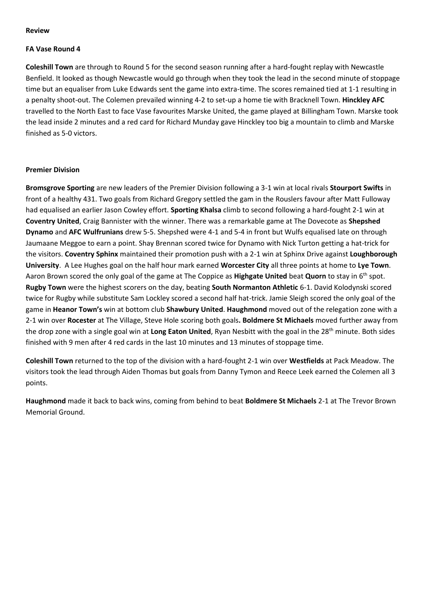## **Review**

## **FA Vase Round 4**

**Coleshill Town** are through to Round 5 for the second season running after a hard-fought replay with Newcastle Benfield. It looked as though Newcastle would go through when they took the lead in the second minute of stoppage time but an equaliser from Luke Edwards sent the game into extra-time. The scores remained tied at 1-1 resulting in a penalty shoot-out. The Colemen prevailed winning 4-2 to set-up a home tie with Bracknell Town. **Hinckley AFC** travelled to the North East to face Vase favourites Marske United, the game played at Billingham Town. Marske took the lead inside 2 minutes and a red card for Richard Munday gave Hinckley too big a mountain to climb and Marske finished as 5-0 victors.

## **Premier Division**

**Bromsgrove Sporting** are new leaders of the Premier Division following a 3-1 win at local rivals **Stourport Swifts** in front of a healthy 431. Two goals from Richard Gregory settled the gam in the Rouslers favour after Matt Fulloway had equalised an earlier Jason Cowley effort. **Sporting Khalsa** climb to second following a hard-fought 2-1 win at **Coventry United**, Craig Bannister with the winner. There was a remarkable game at The Dovecote as **Shepshed Dynamo** and **AFC Wulfrunians** drew 5-5. Shepshed were 4-1 and 5-4 in front but Wulfs equalised late on through Jaumaane Meggoe to earn a point. Shay Brennan scored twice for Dynamo with Nick Turton getting a hat-trick for the visitors. **Coventry Sphinx** maintained their promotion push with a 2-1 win at Sphinx Drive against **Loughborough University**. A Lee Hughes goal on the half hour mark earned **Worcester City** all three points at home to **Lye Town**. Aaron Brown scored the only goal of the game at The Coppice as **Highgate United** beat **Quorn** to stay in 6th spot. **Rugby Town** were the highest scorers on the day, beating **South Normanton Athletic** 6-1. David Kolodynski scored twice for Rugby while substitute Sam Lockley scored a second half hat-trick. Jamie Sleigh scored the only goal of the game in **Heanor Town's** win at bottom club **Shawbury United**. **Haughmond** moved out of the relegation zone with a 2-1 win over **Rocester** at The Village, Steve Hole scoring both goals**. Boldmere St Michaels** moved further away from the drop zone with a single goal win at **Long Eaton United**, Ryan Nesbitt with the goal in the 28th minute. Both sides finished with 9 men after 4 red cards in the last 10 minutes and 13 minutes of stoppage time.

**Coleshill Town** returned to the top of the division with a hard-fought 2-1 win over **Westfields** at Pack Meadow. The visitors took the lead through Aiden Thomas but goals from Danny Tymon and Reece Leek earned the Colemen all 3 points.

**Haughmond** made it back to back wins, coming from behind to beat **Boldmere St Michaels** 2-1 at The Trevor Brown Memorial Ground.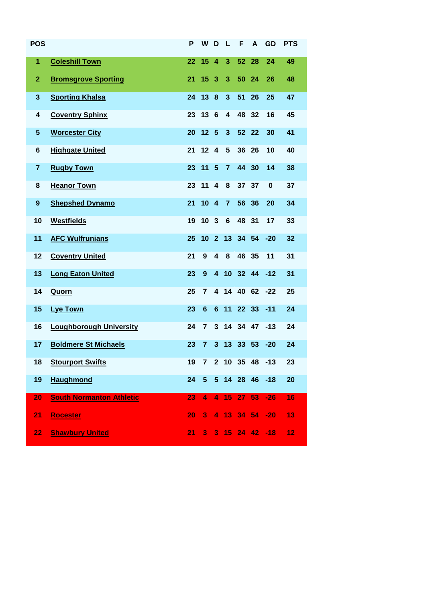| <b>POS</b>       |                                 | P  | W                       | <b>D</b>                | <b>L</b>        | F        | A                | GD             | <b>PTS</b> |
|------------------|---------------------------------|----|-------------------------|-------------------------|-----------------|----------|------------------|----------------|------------|
| 1                | <b>Coleshill Town</b>           | 22 | 15                      | $\overline{\bf{4}}$     | 3               | 52       | 28               | 24             | 49         |
| $\mathbf{2}$     | <b>Bromsgrove Sporting</b>      | 21 | 15                      | 3                       | 3               | 50       | 24               | 26             | 48         |
| $\mathbf{3}$     | <b>Sporting Khalsa</b>          | 24 | 13                      | 8                       | 3               | 51       | 26               | 25             | 47         |
| 4                | <b>Coventry Sphinx</b>          | 23 | 13                      | $6\phantom{1}6$         | 4               | 48       | 32               | 16             | 45         |
| 5                | <b>Worcester City</b>           | 20 | 12 <sub>5</sub>         |                         | 3               | 52       | 22               | 30             | 41         |
| 6                | <b>Highgate United</b>          | 21 | $12 \quad 4$            |                         | 5               | 36       | 26               | 10             | 40         |
| 7                | <b>Rugby Town</b>               | 23 | 11                      | $5\phantom{1}$          | $\overline{7}$  | 44       | 30               | 14             | 38         |
| 8                | <b>Heanor Town</b>              | 23 | 11                      | $\overline{\mathbf{4}}$ | 8               | 37 37    |                  | 0              | 37         |
| $\boldsymbol{9}$ | <b>Shepshed Dynamo</b>          | 21 | 10                      | $\overline{4}$          | $\overline{7}$  | 56 36    |                  | 20             | 34         |
| 10               | <b>Westfields</b>               | 19 | 10 <sub>3</sub>         |                         | $6\phantom{1}$  | 48 31    |                  | 17             | 33         |
| 11               | <b>AFC Wulfrunians</b>          | 25 | 10                      | $\overline{2}$          | 13              |          | 34 54            | $-20$          | 32         |
| 12               | <b>Coventry United</b>          | 21 | 9                       | 4                       | 8               | 46 35    |                  | 11             | 31         |
| 13               | <b>Long Eaton United</b>        | 23 | 9                       | $\overline{\mathbf{A}}$ |                 | 10 32 44 |                  | $-12$          | 31         |
| 14               | <b>Quorn</b>                    | 25 | 7                       | 4                       | 14              | 40       | 62               | $-22$          | 25         |
| 15               | <b>Lye Town</b>                 | 23 | 6                       | 6                       | 11              | 22 33    |                  | $-11$          | 24         |
| 16               | <b>Loughborough University</b>  | 24 | $\overline{7}$          | 3                       | 14              | 34 47    |                  | $-13$          | 24         |
| 17               | <b>Boldmere St Michaels</b>     | 23 | $\overline{7}$          | 3                       |                 | 13 33 53 |                  | $-20$          | 24         |
| 18               | <b>Stourport Swifts</b>         | 19 |                         |                         |                 |          | 7 2 10 35 48 -13 |                | 23         |
| 19               | <b>Haughmond</b>                | 24 | 5 <sup>5</sup>          |                         |                 |          | 5 14 28 46       | $-18$          | 20         |
| 20               | <b>South Normanton Athletic</b> | 23 | $\blacktriangleleft$    | $\overline{4}$          | 15 <sub>1</sub> |          | 27 <sub>53</sub> | $-26$          | 16         |
| 21               | <b>Rocester</b>                 | 20 | $\overline{\mathbf{3}}$ |                         |                 |          | 4 13 34 54       | $-20$          | 13         |
| 22               | <b>Shawbury United</b>          | 21 | 3 <sup>1</sup>          |                         |                 |          |                  | 3 15 24 42 -18 | 12         |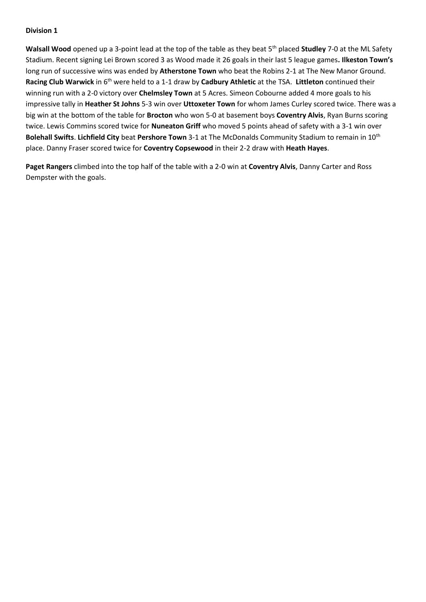Walsall Wood opened up a 3-point lead at the top of the table as they beat 5<sup>th</sup> placed Studley 7-0 at the ML Safety Stadium. Recent signing Lei Brown scored 3 as Wood made it 26 goals in their last 5 league games**. Ilkeston Town's** long run of successive wins was ended by **Atherstone Town** who beat the Robins 2-1 at The New Manor Ground. **Racing Club Warwick** in 6th were held to a 1-1 draw by **Cadbury Athletic** at the TSA. **Littleton** continued their winning run with a 2-0 victory over **Chelmsley Town** at 5 Acres. Simeon Cobourne added 4 more goals to his impressive tally in **Heather St Johns** 5-3 win over **Uttoxeter Town** for whom James Curley scored twice. There was a big win at the bottom of the table for **Brocton** who won 5-0 at basement boys **Coventry Alvis**, Ryan Burns scoring twice. Lewis Commins scored twice for **Nuneaton Griff** who moved 5 points ahead of safety with a 3-1 win over **Bolehall Swifts**. **Lichfield City** beat **Pershore Town** 3-1 at The McDonalds Community Stadium to remain in 10th place. Danny Fraser scored twice for **Coventry Copsewood** in their 2-2 draw with **Heath Hayes**.

**Paget Rangers** climbed into the top half of the table with a 2-0 win at **Coventry Alvis**, Danny Carter and Ross Dempster with the goals.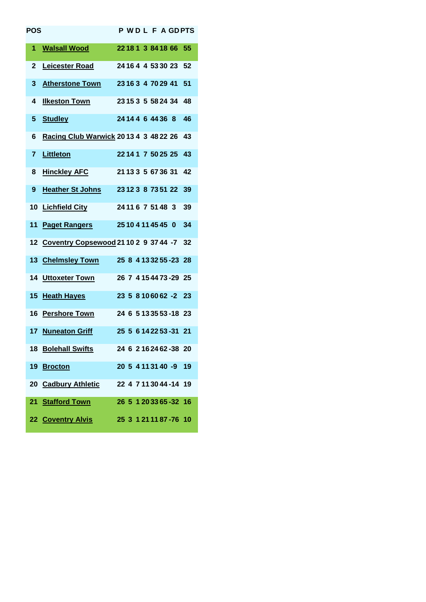| POS            |                                                |  |  |  |                         | <b>PWDLFAGDPTS</b> |
|----------------|------------------------------------------------|--|--|--|-------------------------|--------------------|
| 1              | <b>Walsall Wood</b><br>22 18 1 3 84 18 66 55   |  |  |  |                         |                    |
| $\mathbf 2$    | 24 16 4 4 53 30 23 52<br><b>Leicester Road</b> |  |  |  |                         |                    |
| 3              | Atherstone Town 23163 4 70 29 41 51            |  |  |  |                         |                    |
| 4              | 23 15 3 5 58 24 34 48<br><b>Ilkeston Town</b>  |  |  |  |                         |                    |
| 5              | <b>Studley</b>                                 |  |  |  | 24 14 4 6 44 36 8       | 46                 |
| 6              | Racing Club Warwick 2013 4 3 48 22 26 43       |  |  |  |                         |                    |
| $\overline{7}$ | Littleton                                      |  |  |  | 22 14 1 7 50 25 25 43   |                    |
| 8              | <b>Hinckley AFC</b>                            |  |  |  | 21 13 3 5 67 36 31      | 42                 |
| 9              | <b>Heather St Johns</b>                        |  |  |  | 23 12 3 8 73 51 22      | 39                 |
| 10             | <b>Lichfield City</b>                          |  |  |  | 24 11 6 7 51 48 3       | 39                 |
| 11             | <u>Paget Rangers</u>                           |  |  |  | 25 10 4 11 45 45 0      | 34                 |
|                | 12 Coventry Copsewood 21 10 2 9 37 44 -7 32    |  |  |  |                         |                    |
|                | 13 Chelmsley Town 25 8 4 13 32 55 - 23 28      |  |  |  |                         |                    |
|                | 14 Uttoxeter Town                              |  |  |  | 26 7 4 15 44 73 - 29 25 |                    |
|                | 15 Heath Hayes                                 |  |  |  | 23 5 8 10 60 62 -2 23   |                    |
|                | 16 Pershore Town                               |  |  |  | 24 6 5 13 35 53 - 18 23 |                    |
|                | 17 Nuneaton Griff                              |  |  |  | 25 5 6 14 22 53 -31 21  |                    |
|                | 18 Bolehall Swifts 24 6 2 16 24 62 - 38 20     |  |  |  |                         |                    |
|                | 19 Brocton                                     |  |  |  | 20 5 4 11 31 40 -9 19   |                    |
|                | 20 Cadbury Athletic 22 4 7 11 30 44 -14 19     |  |  |  |                         |                    |
|                | 21 Stafford Town                               |  |  |  | 26 5 1 20 33 65 -32 16  |                    |
|                | 22 Coventry Alvis                              |  |  |  | 25 3 1 21 11 87 - 76 10 |                    |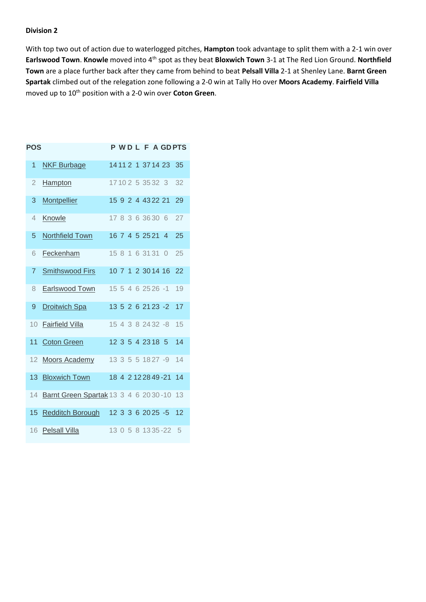With top two out of action due to waterlogged pitches, **Hampton** took advantage to split them with a 2-1 win over **Earlswood Town**. **Knowle** moved into 4th spot as they beat **Bloxwich Town** 3-1 at The Red Lion Ground. **Northfield Town** are a place further back after they came from behind to beat **Pelsall Villa** 2-1 at Shenley Lane. **Barnt Green Spartak** climbed out of the relegation zone following a 2-0 win at Tally Ho over **Moors Academy**. **Fairfield Villa** moved up to 10th position with a 2-0 win over **Coton Green**.

| <b>POS</b>     |                                         |  |  |                   |                      | <b>PWDLFAGDPTS</b> |
|----------------|-----------------------------------------|--|--|-------------------|----------------------|--------------------|
| 1              | <b>NKF Burbage</b>                      |  |  |                   | 14 11 2 1 37 14 23   | 35                 |
| $\overline{2}$ | Hampton                                 |  |  |                   | 17102 5 3532 3       | 32                 |
| 3              | Montpellier                             |  |  |                   | 15 9 2 4 43 22 21    | 29                 |
| 4              | Knowle                                  |  |  | 17 8 3 6 36 30 6  |                      | 27                 |
| 5              | Northfield Town                         |  |  | 16 7 4 5 25 21 4  |                      | 25                 |
| 6              | Feckenham                               |  |  | 15 8 1 6 31 31    | $\bigcap$            | 25                 |
| 7              | <b>Smithswood Firs</b>                  |  |  |                   | 10 7 1 2 30 14 16    | 22                 |
| 8              | Earlswood Town                          |  |  |                   | 15 5 4 6 25 26 -1    | 19                 |
| 9              | <b>Droitwich Spa</b>                    |  |  |                   | 13 5 2 6 21 23 -2    | 17                 |
| 10             | <b>Fairfield Villa</b>                  |  |  | 15 4 3 8 24 32 -8 |                      | 15                 |
| 11             | <b>Coton Green</b>                      |  |  | 12 3 5 4 23 18 5  |                      | 14                 |
| 12             | Moors Academy                           |  |  |                   | 13 3 5 5 18 27 -9    | 14                 |
| 13             | <b>Bloxwich Town</b>                    |  |  |                   | 18 4 2 12 28 49 - 21 | 14                 |
| 14             | Barnt Green Spartak 13 3 4 6 20 30 - 10 |  |  |                   |                      | 13                 |
| 15             | Redditch Borough                        |  |  |                   | 12 3 3 6 20 25 -5    | 12                 |
| 16             | <b>Pelsall Villa</b>                    |  |  |                   | 13 0 5 8 13 35 - 22  | - 5                |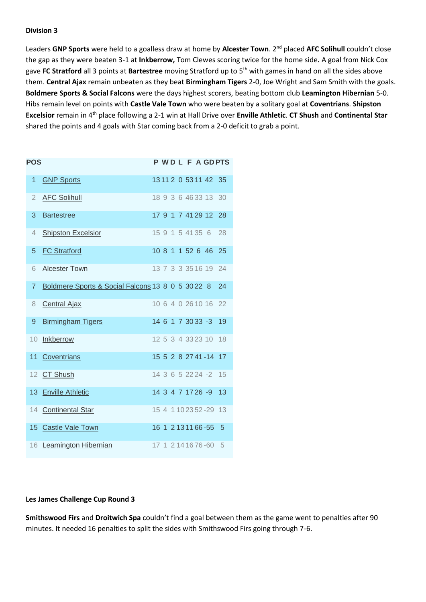Leaders **GNP Sports** were held to a goalless draw at home by **Alcester Town**. 2 nd placed **AFC Solihull** couldn't close the gap as they were beaten 3-1 at **Inkberrow,** Tom Clewes scoring twice for the home side**.** A goal from Nick Cox gave **FC Stratford** all 3 points at **Bartestree** moving Stratford up to 5th with games in hand on all the sides above them. **Central Ajax** remain unbeaten as they beat **Birmingham Tigers** 2-0, Joe Wright and Sam Smith with the goals. **Boldmere Sports & Social Falcons** were the days highest scorers, beating bottom club **Leamington Hibernian** 5-0. Hibs remain level on points with **Castle Vale Town** who were beaten by a solitary goal at **Coventrians**. **Shipston Excelsior** remain in 4th place following a 2-1 win at Hall Drive over **Enville Athletic**. **CT Shush** and **Continental Star** shared the points and 4 goals with Star coming back from a 2-0 deficit to grab a point.

| <b>POS</b>     |                                                   |  |  |                  | <b>PWDLFAGDPTS</b>      |                |
|----------------|---------------------------------------------------|--|--|------------------|-------------------------|----------------|
| 1              | <b>GNP Sports</b>                                 |  |  |                  | 1311 2 0 5311 42 35     |                |
| 2              | <b>AFC Solihull</b>                               |  |  |                  | 18 9 3 6 46 33 13       | 30             |
| 3              | <b>Bartestree</b>                                 |  |  |                  | 17 9 1 7 41 29 12 28    |                |
| 4              | <b>Shipston Excelsior</b>                         |  |  | 15 9 1 5 41 35 6 |                         | 28             |
| 5              | <b>FC Stratford</b>                               |  |  |                  | 10 8 1 1 52 6 46        | 25             |
| 6              | <b>Alcester Town</b>                              |  |  |                  | 13 7 3 3 3 5 1 6 1 9    | 24             |
| $\overline{7}$ | Boldmere Sports & Social Falcons 13 8 0 5 30 22 8 |  |  |                  |                         | 24             |
| 8              | <b>Central Ajax</b>                               |  |  |                  | 10 6 4 0 26 10 16 22    |                |
| 9              | <b>Birmingham Tigers</b>                          |  |  |                  | 14 6 1 7 30 33 -3       | 19             |
|                | 10 Inkberrow                                      |  |  |                  | 12 5 3 4 33 23 10       | 18             |
|                | 11 Coventrians                                    |  |  |                  | 15 5 2 8 27 41 - 14 17  |                |
|                | 12 CT Shush                                       |  |  |                  | 14 3 6 5 22 24 -2       | 15             |
|                | 13 Enville Athletic                               |  |  |                  | 14 3 4 7 17 26 -9       | 13             |
|                | 14 Continental Star                               |  |  |                  | 15 4 1 10 23 52 - 29 13 |                |
|                | 15 Castle Vale Town                               |  |  |                  | 16 1 2 13 11 66 - 55    | $\overline{5}$ |
|                | 16 Leamington Hibernian                           |  |  |                  | 17 1 2 14 16 76 -60 5   |                |

## **Les James Challenge Cup Round 3**

**Smithswood Firs** and **Droitwich Spa** couldn't find a goal between them as the game went to penalties after 90 minutes. It needed 16 penalties to split the sides with Smithswood Firs going through 7-6.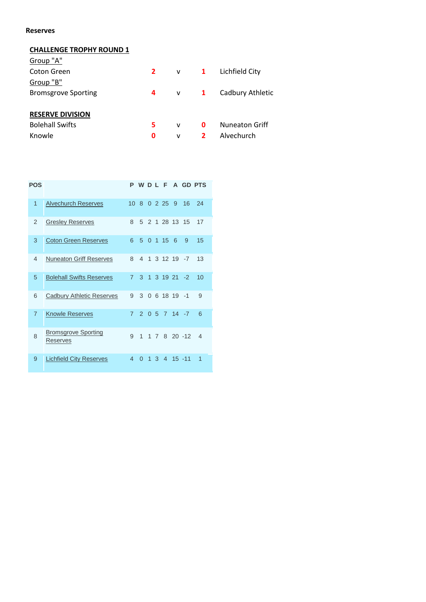## **Reserves**

## **CHALLENGE TROPHY ROUND 1**

| Group "A"                  |             |                |              |                       |
|----------------------------|-------------|----------------|--------------|-----------------------|
| Coton Green                | $2^{\circ}$ | $\mathsf{v}$ 1 |              | Lichfield City        |
| Group "B"                  |             |                |              |                       |
| <b>Bromsgrove Sporting</b> | 4           | $\mathsf{v}$ 1 |              | Cadbury Athletic      |
| <b>RESERVE DIVISION</b>    |             |                |              |                       |
| <b>Bolehall Swifts</b>     | 5           | v              | 0            | <b>Nuneaton Griff</b> |
| Knowle                     | 0           | v              | $\mathbf{2}$ | Alvechurch            |
|                            |             |                |              |                       |

| <b>POS</b>     |                                        | P               | WDLF           |                |   |                | $\Delta$ |                  | <b>GD PTS</b>  |
|----------------|----------------------------------------|-----------------|----------------|----------------|---|----------------|----------|------------------|----------------|
| $\overline{1}$ | <b>Alvechurch Reserves</b>             | 10 <sub>8</sub> |                |                |   | 02259          |          | 16               | 24             |
| 2              | <b>Gresley Reserves</b>                | 8               | 5              |                |   | 2 1 28 13      |          | 15               | 17             |
| 3              | <b>Coton Green Reserves</b>            | 6               | 5              |                |   | $0 \t1 \t15$   | 6        | 9                | 15             |
| $\overline{4}$ | <b>Nuneaton Griff Reserves</b>         | 8               | $\overline{4}$ | 1              |   | 3 12 19        |          | $-7$             | 13             |
| 5              | <b>Bolehall Swifts Reserves</b>        | $\overline{7}$  | 3              | $\overline{1}$ |   |                |          | $3 \t19 \t21 -2$ | 10             |
| 6              | <b>Cadbury Athletic Reserves</b>       | 9               |                |                |   | 3 0 6 18 19 -1 |          |                  | 9              |
| $\overline{7}$ | <b>Knowle Reserves</b>                 |                 |                |                |   |                |          | 7 2 0 5 7 14 -7  | 6              |
| 8              | <b>Bromsgrove Sporting</b><br>Reserves | 9               | 1              | 1              |   |                |          | 7 8 20 -12       | $\overline{4}$ |
| 9              | <b>Lichfield City Reserves</b>         | 4               | 0              | 1              | 3 | $\overline{4}$ |          | $15 - 11$        | 1              |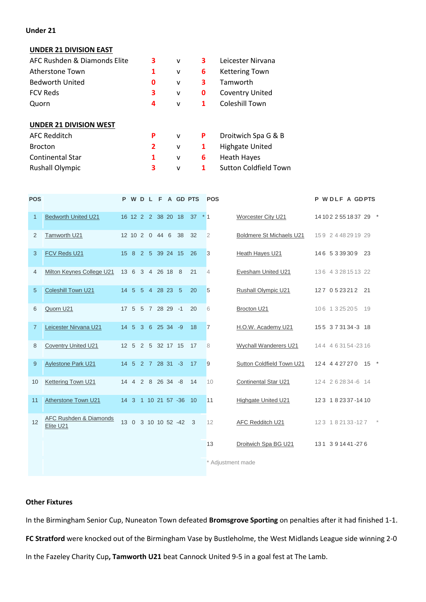## **Under 21**

## **UNDER 21 DIVISION EAST**

| AFC Rushden & Diamonds Elite  | 3              | $\mathsf{v}$ | 3 | Leicester Nirvana            |
|-------------------------------|----------------|--------------|---|------------------------------|
| Atherstone Town               | 1              | v            | 6 | <b>Kettering Town</b>        |
| <b>Bedworth United</b>        | 0              | v            | 3 | Tamworth                     |
| <b>FCV Reds</b>               | 3              | v            | 0 | <b>Coventry United</b>       |
| Quorn                         | 4              | v            | 1 | Coleshill Town               |
| <b>UNDER 21 DIVISION WEST</b> |                |              |   |                              |
| <b>AFC Redditch</b>           | P              | $\mathsf{v}$ | P | Droitwich Spa G & B          |
| <b>Brocton</b>                | $\overline{2}$ | v            | 1 | <b>Highgate United</b>       |
| <b>Continental Star</b>       | 1              | v            | 6 | <b>Heath Hayes</b>           |
| <b>Rushall Olympic</b>        | 3              | v            | 1 | <b>Sutton Coldfield Town</b> |
|                               |                |              |   |                              |

| <b>POS</b>     |                                                |  |  |                   |                        | P W D L F A GD PTS          | <b>POS</b>     |                              | P WDLF A GDPTS          |
|----------------|------------------------------------------------|--|--|-------------------|------------------------|-----------------------------|----------------|------------------------------|-------------------------|
| 1              | <b>Bedworth United U21</b>                     |  |  |                   |                        | 16 12 2 2 38 20 18 37 $*$ 1 |                | Worcester City U21           | 14 10 2 2 55 18 37 29 * |
| 2              | Tamworth U21                                   |  |  |                   | 12 10 2 0 44 6 38      | -32                         | $\overline{2}$ | Boldmere St Michaels U21     | 159 2 4 48 29 19 29     |
| 3              | FCV Reds U21                                   |  |  |                   | 15 8 2 5 39 24 15 26   |                             | 3              | Heath Hayes U21              | 146 5339309 23          |
| 4              | Milton Keynes College U21                      |  |  | 13 6 3 4 26 18 8  |                        | 21                          | $\overline{4}$ | Evesham United U21           | 136 4 3 28 15 13 22     |
| $\sqrt{5}$     | Coleshill Town U21                             |  |  | 14 5 5 4 28 23 5  |                        | 20                          | 5              | Rushall Olympic U21          | 127 0523212 21          |
| 6              | Quorn U21                                      |  |  |                   | 17 5 5 7 28 29 -1      | 20                          | 6              | Brocton U21                  | 106 1325205 19          |
| $\overline{7}$ | Leicester Nirvana U21                          |  |  | 14 5 3 6 25 34 -9 |                        | 18                          | $\overline{7}$ | H.O.W. Academy U21           | 155 373134-3 18         |
| 8              | <b>Coventry United U21</b>                     |  |  |                   | 12 5 2 5 32 17 15 17   |                             | 8              | <b>Wychall Wanderers U21</b> | 144 4 6 31 54 - 23 16   |
| 9              | <b>Aylestone Park U21</b>                      |  |  |                   | 14 5 2 7 28 31 -3 17   |                             | 9              | Sutton Coldfield Town U21    | 124 4427270 15 *        |
| 10             | Kettering Town U21                             |  |  |                   | 14 4 2 8 26 34 -8 14   |                             | 10             | <b>Continental Star U21</b>  | 124 262834-6 14         |
| 11             | Atherstone Town U21                            |  |  |                   | 14 3 1 10 21 57 -36 10 |                             | 11             | Highgate United U21          | 123 182337-1410         |
| 12             | <b>AFC Rushden &amp; Diamonds</b><br>Elite U21 |  |  |                   | 13 0 3 10 10 52 -42 3  |                             | 12             | AFC Redditch U21             | 123 182133-127          |
|                |                                                |  |  |                   |                        |                             | 13             | Droitwich Spa BG U21         | 131 391441-276          |
|                |                                                |  |  |                   |                        |                             |                |                              |                         |

Adjustment made

## **Other Fixtures**

In the Birmingham Senior Cup, Nuneaton Town defeated **Bromsgrove Sporting** on penalties after it had finished 1-1. **FC Stratford** were knocked out of the Birmingham Vase by Bustleholme, the West Midlands League side winning 2-0 In the Fazeley Charity Cup**, Tamworth U21** beat Cannock United 9-5 in a goal fest at The Lamb.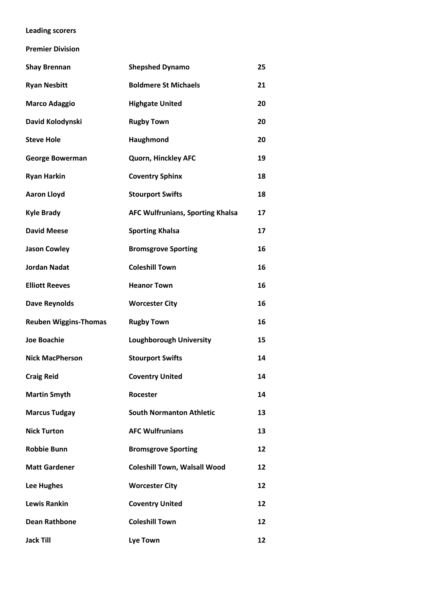## **Leading scorers**

**Premier Division**

| <b>Shay Brennan</b>          | <b>Shepshed Dynamo</b>                  | 25 |
|------------------------------|-----------------------------------------|----|
| <b>Ryan Nesbitt</b>          | <b>Boldmere St Michaels</b>             | 21 |
| <b>Marco Adaggio</b>         | <b>Highgate United</b>                  | 20 |
| David Kolodynski             | <b>Rugby Town</b>                       | 20 |
| <b>Steve Hole</b>            | Haughmond                               | 20 |
| <b>George Bowerman</b>       | Quorn, Hinckley AFC                     | 19 |
| <b>Ryan Harkin</b>           | <b>Coventry Sphinx</b>                  | 18 |
| <b>Aaron Lloyd</b>           | <b>Stourport Swifts</b>                 | 18 |
| <b>Kyle Brady</b>            | <b>AFC Wulfrunians, Sporting Khalsa</b> | 17 |
| <b>David Meese</b>           | <b>Sporting Khalsa</b>                  | 17 |
| <b>Jason Cowley</b>          | <b>Bromsgrove Sporting</b>              | 16 |
| <b>Jordan Nadat</b>          | <b>Coleshill Town</b>                   | 16 |
| <b>Elliott Reeves</b>        | <b>Heanor Town</b>                      | 16 |
| <b>Dave Reynolds</b>         | <b>Worcester City</b>                   | 16 |
| <b>Reuben Wiggins-Thomas</b> | <b>Rugby Town</b>                       | 16 |
| <b>Joe Boachie</b>           | <b>Loughborough University</b>          | 15 |
| <b>Nick MacPherson</b>       | <b>Stourport Swifts</b>                 | 14 |
| <b>Craig Reid</b>            | <b>Coventry United</b>                  | 14 |
| <b>Martin Smyth</b>          | <b>Rocester</b>                         | 14 |
| <b>Marcus Tudgay</b>         | <b>South Normanton Athletic</b>         | 13 |
| <b>Nick Turton</b>           | <b>AFC Wulfrunians</b>                  | 13 |
| <b>Robbie Bunn</b>           | <b>Bromsgrove Sporting</b>              | 12 |
| <b>Matt Gardener</b>         | <b>Coleshill Town, Walsall Wood</b>     | 12 |
| <b>Lee Hughes</b>            | <b>Worcester City</b>                   | 12 |
| <b>Lewis Rankin</b>          | <b>Coventry United</b>                  | 12 |
| <b>Dean Rathbone</b>         | <b>Coleshill Town</b>                   | 12 |
| <b>Jack Till</b>             | Lye Town                                | 12 |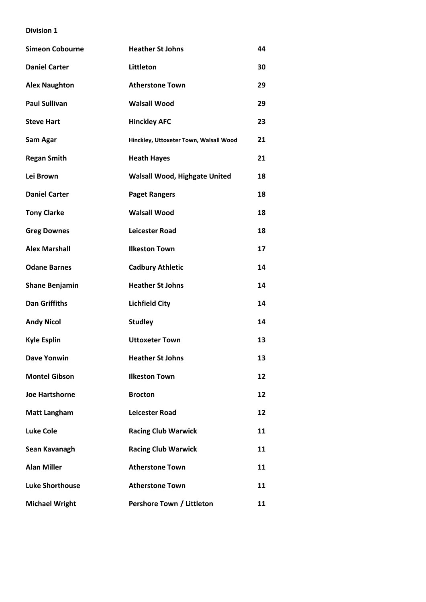| <b>Simeon Cobourne</b> | <b>Heather St Johns</b>                | 44 |
|------------------------|----------------------------------------|----|
| <b>Daniel Carter</b>   | Littleton                              | 30 |
| <b>Alex Naughton</b>   | <b>Atherstone Town</b>                 | 29 |
| <b>Paul Sullivan</b>   | <b>Walsall Wood</b>                    | 29 |
| <b>Steve Hart</b>      | <b>Hinckley AFC</b>                    | 23 |
| Sam Agar               | Hinckley, Uttoxeter Town, Walsall Wood | 21 |
| <b>Regan Smith</b>     | <b>Heath Hayes</b>                     | 21 |
| Lei Brown              | <b>Walsall Wood, Highgate United</b>   | 18 |
| <b>Daniel Carter</b>   | <b>Paget Rangers</b>                   | 18 |
| <b>Tony Clarke</b>     | <b>Walsall Wood</b>                    | 18 |
| <b>Greg Downes</b>     | <b>Leicester Road</b>                  | 18 |
| <b>Alex Marshall</b>   | <b>Ilkeston Town</b>                   | 17 |
| <b>Odane Barnes</b>    | <b>Cadbury Athletic</b>                | 14 |
| <b>Shane Benjamin</b>  | <b>Heather St Johns</b>                | 14 |
| <b>Dan Griffiths</b>   | <b>Lichfield City</b>                  | 14 |
| <b>Andy Nicol</b>      | <b>Studley</b>                         | 14 |
| <b>Kyle Esplin</b>     | <b>Uttoxeter Town</b>                  | 13 |
| <b>Dave Yonwin</b>     | <b>Heather St Johns</b>                | 13 |
| <b>Montel Gibson</b>   | <b>Ilkeston Town</b>                   | 12 |
| <b>Joe Hartshorne</b>  | <b>Brocton</b>                         | 12 |
| <b>Matt Langham</b>    | <b>Leicester Road</b>                  | 12 |
| <b>Luke Cole</b>       | <b>Racing Club Warwick</b>             | 11 |
| Sean Kavanagh          | <b>Racing Club Warwick</b>             | 11 |
| <b>Alan Miller</b>     | <b>Atherstone Town</b>                 | 11 |
| <b>Luke Shorthouse</b> | <b>Atherstone Town</b>                 | 11 |
| <b>Michael Wright</b>  | Pershore Town / Littleton              | 11 |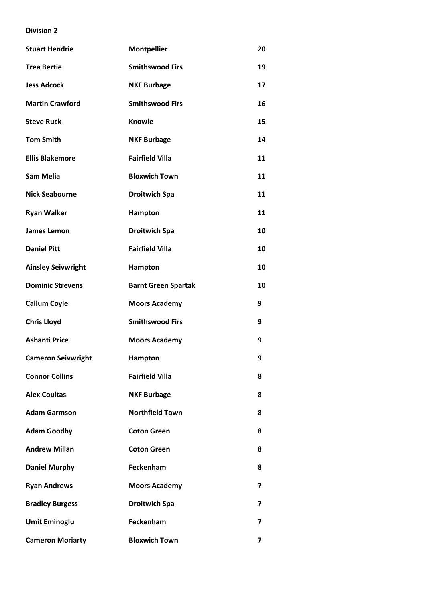| <b>Stuart Hendrie</b>     | <b>Montpellier</b>         | 20 |
|---------------------------|----------------------------|----|
| <b>Trea Bertie</b>        | <b>Smithswood Firs</b>     | 19 |
| <b>Jess Adcock</b>        | <b>NKF Burbage</b>         | 17 |
| <b>Martin Crawford</b>    | <b>Smithswood Firs</b>     | 16 |
| <b>Steve Ruck</b>         | <b>Knowle</b>              | 15 |
| <b>Tom Smith</b>          | <b>NKF Burbage</b>         | 14 |
| <b>Ellis Blakemore</b>    | <b>Fairfield Villa</b>     | 11 |
| <b>Sam Melia</b>          | <b>Bloxwich Town</b>       | 11 |
| <b>Nick Seabourne</b>     | <b>Droitwich Spa</b>       | 11 |
| <b>Ryan Walker</b>        | Hampton                    | 11 |
| <b>James Lemon</b>        | <b>Droitwich Spa</b>       | 10 |
| <b>Daniel Pitt</b>        | <b>Fairfield Villa</b>     | 10 |
| <b>Ainsley Seivwright</b> | Hampton                    | 10 |
| <b>Dominic Strevens</b>   | <b>Barnt Green Spartak</b> | 10 |
| <b>Callum Coyle</b>       | <b>Moors Academy</b>       | 9  |
| <b>Chris Lloyd</b>        | <b>Smithswood Firs</b>     | 9  |
| <b>Ashanti Price</b>      | <b>Moors Academy</b>       | 9  |
| <b>Cameron Seivwright</b> | Hampton                    | 9  |
| <b>Connor Collins</b>     | <b>Fairfield Villa</b>     | 8  |
| <b>Alex Coultas</b>       | <b>NKF Burbage</b>         | 8  |
| <b>Adam Garmson</b>       | <b>Northfield Town</b>     | 8  |
| <b>Adam Goodby</b>        | <b>Coton Green</b>         | 8  |
| <b>Andrew Millan</b>      | <b>Coton Green</b>         | 8  |
| <b>Daniel Murphy</b>      | Feckenham                  | 8  |
| <b>Ryan Andrews</b>       | <b>Moors Academy</b>       | 7  |
| <b>Bradley Burgess</b>    | <b>Droitwich Spa</b>       | 7  |
| <b>Umit Eminoglu</b>      | Feckenham                  | 7  |
| <b>Cameron Moriarty</b>   | <b>Bloxwich Town</b>       | 7  |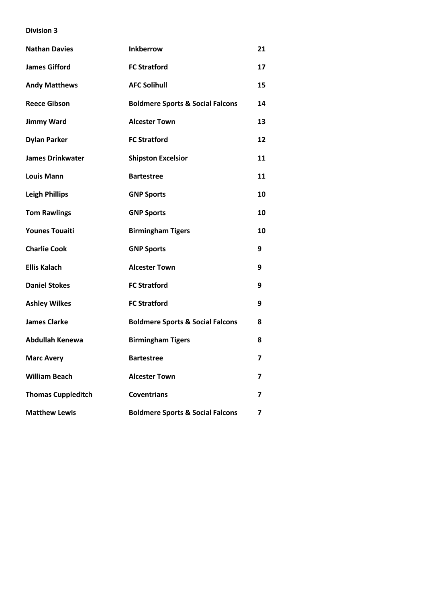| <b>Nathan Davies</b>      | <b>Inkberrow</b>                            | 21                      |
|---------------------------|---------------------------------------------|-------------------------|
| <b>James Gifford</b>      | <b>FC Stratford</b>                         | 17                      |
| <b>Andy Matthews</b>      | <b>AFC Solihull</b>                         | 15                      |
| <b>Reece Gibson</b>       | <b>Boldmere Sports &amp; Social Falcons</b> | 14                      |
| <b>Jimmy Ward</b>         | <b>Alcester Town</b>                        | 13                      |
| <b>Dylan Parker</b>       | <b>FC Stratford</b>                         | 12                      |
| <b>James Drinkwater</b>   | <b>Shipston Excelsior</b>                   | 11                      |
| <b>Louis Mann</b>         | <b>Bartestree</b>                           | 11                      |
| <b>Leigh Phillips</b>     | <b>GNP Sports</b>                           | 10                      |
| <b>Tom Rawlings</b>       | <b>GNP Sports</b>                           | 10                      |
| <b>Younes Touaiti</b>     | <b>Birmingham Tigers</b>                    | 10                      |
| <b>Charlie Cook</b>       | <b>GNP Sports</b>                           | 9                       |
| <b>Ellis Kalach</b>       | <b>Alcester Town</b>                        | 9                       |
| <b>Daniel Stokes</b>      | <b>FC Stratford</b>                         | 9                       |
| <b>Ashley Wilkes</b>      | <b>FC Stratford</b>                         | 9                       |
| <b>James Clarke</b>       | <b>Boldmere Sports &amp; Social Falcons</b> | 8                       |
| <b>Abdullah Kenewa</b>    | <b>Birmingham Tigers</b>                    | 8                       |
| <b>Marc Avery</b>         | <b>Bartestree</b>                           | $\overline{\mathbf{z}}$ |
| <b>William Beach</b>      | <b>Alcester Town</b>                        | 7                       |
| <b>Thomas Cuppleditch</b> | <b>Coventrians</b>                          | 7                       |
| <b>Matthew Lewis</b>      | <b>Boldmere Sports &amp; Social Falcons</b> | 7                       |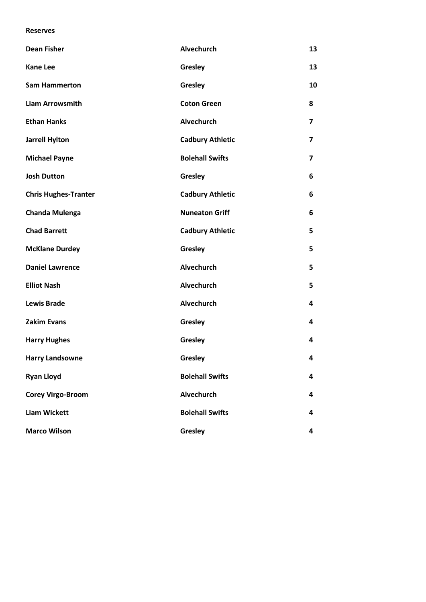## **Reserves**

| <b>Dean Fisher</b>          | <b>Alvechurch</b>       | 13             |
|-----------------------------|-------------------------|----------------|
| <b>Kane Lee</b>             | Gresley                 | 13             |
| <b>Sam Hammerton</b>        | Gresley                 | 10             |
| <b>Liam Arrowsmith</b>      | <b>Coton Green</b>      | 8              |
| <b>Ethan Hanks</b>          | <b>Alvechurch</b>       | $\overline{ }$ |
| <b>Jarrell Hylton</b>       | <b>Cadbury Athletic</b> | $\overline{ }$ |
| <b>Michael Payne</b>        | <b>Bolehall Swifts</b>  | 7              |
| <b>Josh Dutton</b>          | Gresley                 | 6              |
| <b>Chris Hughes-Tranter</b> | <b>Cadbury Athletic</b> | 6              |
| Chanda Mulenga              | <b>Nuneaton Griff</b>   | 6              |
| <b>Chad Barrett</b>         | <b>Cadbury Athletic</b> | 5              |
| <b>McKlane Durdey</b>       | Gresley                 | 5              |
| <b>Daniel Lawrence</b>      | <b>Alvechurch</b>       | 5              |
| <b>Elliot Nash</b>          | Alvechurch              | 5              |
| <b>Lewis Brade</b>          | Alvechurch              | 4              |
| <b>Zakim Evans</b>          | Gresley                 | 4              |
| <b>Harry Hughes</b>         | Gresley                 | 4              |
| <b>Harry Landsowne</b>      | Gresley                 | 4              |
| <b>Ryan Lloyd</b>           | <b>Bolehall Swifts</b>  | 4              |
| <b>Corey Virgo-Broom</b>    | Alvechurch              | 4              |
| <b>Liam Wickett</b>         | <b>Bolehall Swifts</b>  | 4              |
| <b>Marco Wilson</b>         | Gresley                 | 4              |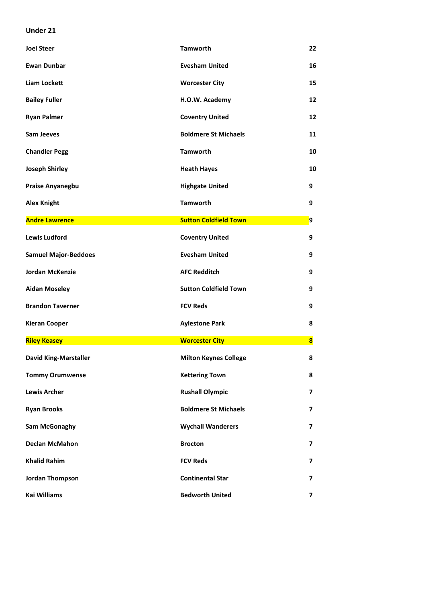## **Under 21**

| <b>Joel Steer</b>            | <b>Tamworth</b>              | 22                      |
|------------------------------|------------------------------|-------------------------|
| <b>Ewan Dunbar</b>           | <b>Evesham United</b>        | 16                      |
| <b>Liam Lockett</b>          | <b>Worcester City</b>        | 15                      |
| <b>Bailey Fuller</b>         | H.O.W. Academy               | 12                      |
| <b>Ryan Palmer</b>           | <b>Coventry United</b>       | 12                      |
| <b>Sam Jeeves</b>            | <b>Boldmere St Michaels</b>  | 11                      |
| <b>Chandler Pegg</b>         | <b>Tamworth</b>              | 10                      |
| <b>Joseph Shirley</b>        | <b>Heath Hayes</b>           | 10                      |
| Praise Anyanegbu             | <b>Highgate United</b>       | 9                       |
| <b>Alex Knight</b>           | <b>Tamworth</b>              | 9                       |
| <b>Andre Lawrence</b>        | <b>Sutton Coldfield Town</b> | $\overline{9}$          |
| <b>Lewis Ludford</b>         | <b>Coventry United</b>       | 9                       |
| <b>Samuel Major-Beddoes</b>  | <b>Evesham United</b>        | 9                       |
| <b>Jordan McKenzie</b>       | <b>AFC Redditch</b>          | 9                       |
| <b>Aidan Moseley</b>         | <b>Sutton Coldfield Town</b> | 9                       |
| <b>Brandon Taverner</b>      | <b>FCV Reds</b>              | 9                       |
| <b>Kieran Cooper</b>         | <b>Aylestone Park</b>        | 8                       |
| <b>Riley Keasey</b>          | <b>Worcester City</b>        | $\overline{\mathbf{8}}$ |
| <b>David King-Marstaller</b> | <b>Milton Keynes College</b> | 8                       |
| <b>Tommy Orumwense</b>       | <b>Kettering Town</b>        | 8                       |
| <b>Lewis Archer</b>          | <b>Rushall Olympic</b>       | 7                       |
| <b>Ryan Brooks</b>           | <b>Boldmere St Michaels</b>  | 7                       |
| Sam McGonaghy                | <b>Wychall Wanderers</b>     | 7                       |
| <b>Declan McMahon</b>        | <b>Brocton</b>               | 7                       |
| <b>Khalid Rahim</b>          | <b>FCV Reds</b>              | 7                       |
| Jordan Thompson              |                              |                         |
|                              | <b>Continental Star</b>      | 7                       |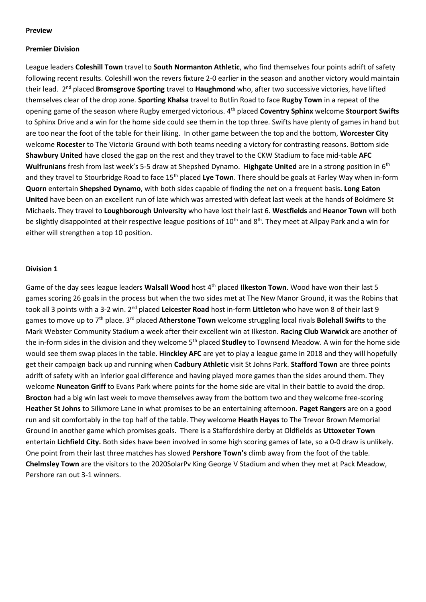## **Preview**

## **Premier Division**

League leaders **Coleshill Town** travel to **South Normanton Athletic**, who find themselves four points adrift of safety following recent results. Coleshill won the revers fixture 2-0 earlier in the season and another victory would maintain their lead. 2<sup>nd</sup> placed **Bromsgrove Sporting** travel to **Haughmond** who, after two successive victories, have lifted themselves clear of the drop zone. **Sporting Khalsa** travel to Butlin Road to face **Rugby Town** in a repeat of the opening game of the season where Rugby emerged victorious. 4th placed **Coventry Sphinx** welcome **Stourport Swifts** to Sphinx Drive and a win for the home side could see them in the top three. Swifts have plenty of games in hand but are too near the foot of the table for their liking. In other game between the top and the bottom, **Worcester City** welcome **Rocester** to The Victoria Ground with both teams needing a victory for contrasting reasons. Bottom side **Shawbury United** have closed the gap on the rest and they travel to the CKW Stadium to face mid-table **AFC Wulfrunians** fresh from last week's 5-5 draw at Shepshed Dynamo. **Highgate United** are in a strong position in 6th and they travel to Stourbridge Road to face 15<sup>th</sup> placed Lye Town. There should be goals at Farley Way when in-form **Quorn** entertain **Shepshed Dynamo**, with both sides capable of finding the net on a frequent basis**. Long Eaton United** have been on an excellent run of late which was arrested with defeat last week at the hands of Boldmere St Michaels. They travel to **Loughborough University** who have lost their last 6. **Westfields** and **Heanor Town** will both be slightly disappointed at their respective league positions of 10<sup>th</sup> and 8<sup>th</sup>. They meet at Allpay Park and a win for either will strengthen a top 10 position.

## **Division 1**

Game of the day sees league leaders **Walsall Wood** host 4th placed **Ilkeston Town**. Wood have won their last 5 games scoring 26 goals in the process but when the two sides met at The New Manor Ground, it was the Robins that took all 3 points with a 3-2 win. 2nd placed **Leicester Road** host in-form **Littleton** who have won 8 of their last 9 games to move up to 7th place. 3rd placed **Atherstone Town** welcome struggling local rivals **Bolehall Swifts** to the Mark Webster Community Stadium a week after their excellent win at Ilkeston. **Racing Club Warwick** are another of the in-form sides in the division and they welcome 5<sup>th</sup> placed **Studley** to Townsend Meadow. A win for the home side would see them swap places in the table. **Hinckley AFC** are yet to play a league game in 2018 and they will hopefully get their campaign back up and running when **Cadbury Athletic** visit St Johns Park. **Stafford Town** are three points adrift of safety with an inferior goal difference and having played more games than the sides around them. They welcome **Nuneaton Griff** to Evans Park where points for the home side are vital in their battle to avoid the drop. **Brocton** had a big win last week to move themselves away from the bottom two and they welcome free-scoring **Heather St Johns** to Silkmore Lane in what promises to be an entertaining afternoon. **Paget Rangers** are on a good run and sit comfortably in the top half of the table. They welcome **Heath Hayes** to The Trevor Brown Memorial Ground in another game which promises goals. There is a Staffordshire derby at Oldfields as **Uttoxeter Town** entertain **Lichfield City.** Both sides have been involved in some high scoring games of late, so a 0-0 draw is unlikely. One point from their last three matches has slowed **Pershore Town's** climb away from the foot of the table. **Chelmsley Town** are the visitors to the 2020SolarPv King George V Stadium and when they met at Pack Meadow, Pershore ran out 3-1 winners.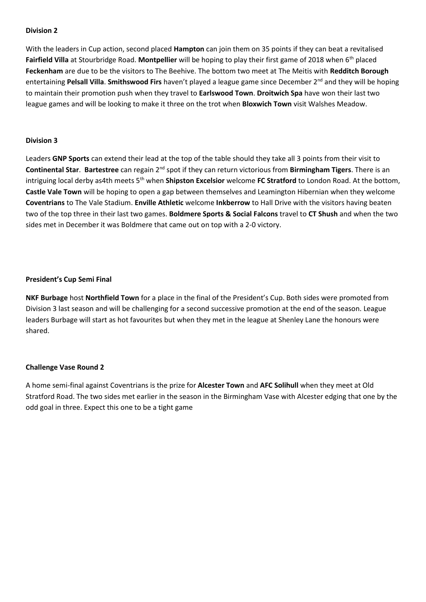With the leaders in Cup action, second placed **Hampton** can join them on 35 points if they can beat a revitalised **Fairfield Villa** at Stourbridge Road. **Montpellier** will be hoping to play their first game of 2018 when 6th placed **Feckenham** are due to be the visitors to The Beehive. The bottom two meet at The Meitis with **Redditch Borough** entertaining **Pelsall Villa**. **Smithswood Firs** haven't played a league game since December 2nd and they will be hoping to maintain their promotion push when they travel to **Earlswood Town**. **Droitwich Spa** have won their last two league games and will be looking to make it three on the trot when **Bloxwich Town** visit Walshes Meadow.

## **Division 3**

Leaders **GNP Sports** can extend their lead at the top of the table should they take all 3 points from their visit to **Continental Star**. **Bartestree** can regain 2nd spot if they can return victorious from **Birmingham Tigers**. There is an intriguing local derby as4th meets 5<sup>th</sup> when **Shipston Excelsior** welcome **FC Stratford** to London Road. At the bottom, **Castle Vale Town** will be hoping to open a gap between themselves and Leamington Hibernian when they welcome **Coventrians** to The Vale Stadium. **Enville Athletic** welcome **Inkberrow** to Hall Drive with the visitors having beaten two of the top three in their last two games. **Boldmere Sports & Social Falcons** travel to **CT Shush** and when the two sides met in December it was Boldmere that came out on top with a 2-0 victory.

## **President's Cup Semi Final**

**NKF Burbage** host **Northfield Town** for a place in the final of the President's Cup. Both sides were promoted from Division 3 last season and will be challenging for a second successive promotion at the end of the season. League leaders Burbage will start as hot favourites but when they met in the league at Shenley Lane the honours were shared.

## **Challenge Vase Round 2**

A home semi-final against Coventrians is the prize for **Alcester Town** and **AFC Solihull** when they meet at Old Stratford Road. The two sides met earlier in the season in the Birmingham Vase with Alcester edging that one by the odd goal in three. Expect this one to be a tight game